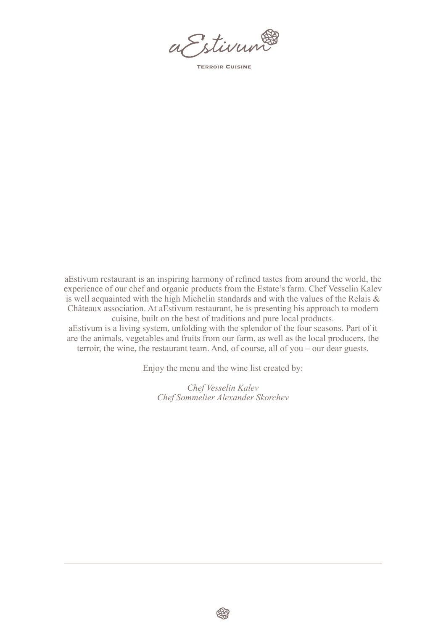a Estivum

**TERROIR CUISINE** 

aEstivum restaurant is an inspiring harmony of refined tastes from around the world, the experience of our chef and organic products from the Estate's farm. Chef Vesselin Kalev is well acquainted with the high Michelin standards and with the values of the Relais & Châteaux association. At aEstivum restaurant, he is presenting his approach to modern cuisine, built on the best of traditions and pure local products. aEstivum is a living system, unfolding with the splendor of the four seasons. Part of it are the animals, vegetables and fruits from our farm, as well as the local producers, the

terroir, the wine, the restaurant team. And, of course, all of you – our dear guests.

Enjoy the menu and the wine list created by:

*Chef Vesselin Kalev Chef Sommelier Alexander Skorchev*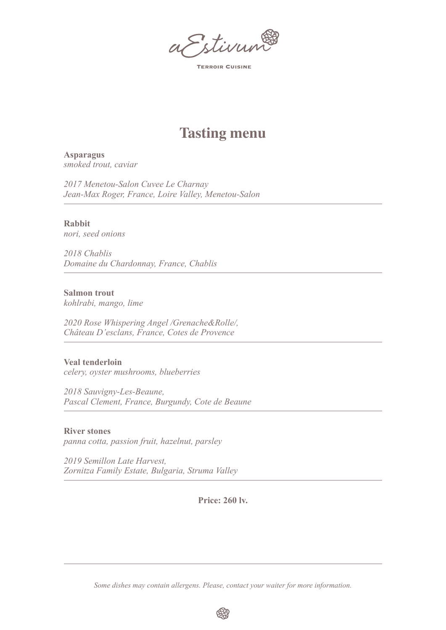Istivum

**TERROIR CUISINE** 

### **Tasting menu**

**Asparagus** *smoked trout, caviar*

*2017 Menetou-Salon Cuvee Le Charnay Jean-Max Roger, France, Loire Valley, Menetou-Salon*

### **Rabbit**

*nori, seed onions*

*2018 Chablis Domaine du Chardonnay, France, Chablis*

**Salmon trout**

*kohlrabi, mango, lime*

*2020 Rose Whispering Angel /Grenache&Rolle/, Château D'esclans, France, Cotes de Provence*

#### **Veal tenderloin**

*celery, oyster mushrooms, blueberries*

*2018 Sauvigny-Les-Beaune, Pascal Clement, France, Burgundy, Cote de Beaune*

#### **River stones**

*panna cotta, passion fruit, hazelnut, parsley*

*2019 Semillon Late Harvest, Zornitza Family Estate, Bulgaria, Struma Valley*

**Price: 260 lv.**

*Some dishes may contain allergens. Please, contact your waiter for more information.*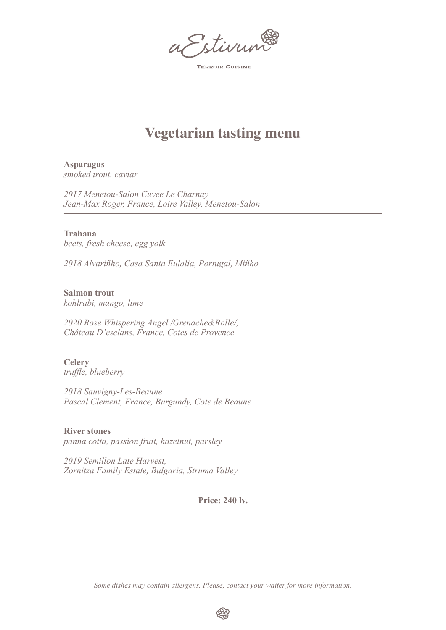Istivum

**TERROIR CUISINE** 

### **Vegetarian tasting menu**

**Asparagus** *smoked trout, caviar*

*2017 Menetou-Salon Cuvee Le Charnay Jean-Max Roger, France, Loire Valley, Menetou-Salon*

**Trahana**

*beets, fresh cheese, egg yolk*

*2018 Alvariñho, Casa Santa Eulalia, Portugal, Miñho*

**Salmon trout**

*kohlrabi, mango, lime*

*2020 Rose Whispering Angel /Grenache&Rolle/, Château D'esclans, France, Cotes de Provence*

**Celery** *truffle, blueberry*

*2018 Sauvigny-Les-Beaune Pascal Clement, France, Burgundy, Cote de Beaune*

#### **River stones**

*panna cotta, passion fruit, hazelnut, parsley*

*2019 Semillon Late Harvest, Zornitza Family Estate, Bulgaria, Struma Valley*

**Price: 240 lv.**

*Some dishes may contain allergens. Please, contact your waiter for more information.*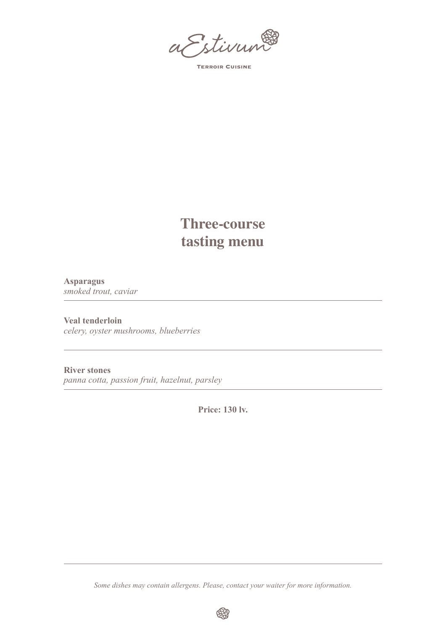a Estivun®

**TERROIR CUISINE** 

## **Three-course tasting menu**

#### **Asparagus**

*smoked trout, caviar*

**Veal tenderloin** *celery, oyster mushrooms, blueberries*

#### **River stones**

*panna cotta, passion fruit, hazelnut, parsley*

**Price: 130 lv.**

*Some dishes may contain allergens. Please, contact your waiter for more information.*

好